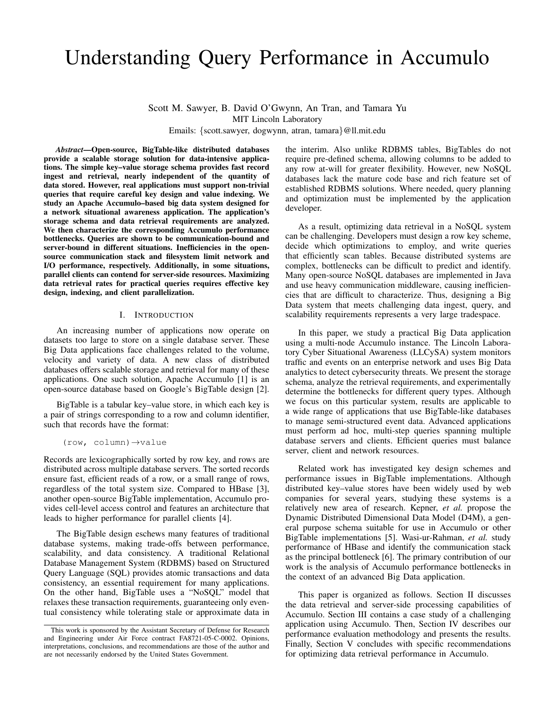# Understanding Query Performance in Accumulo

Scott M. Sawyer, B. David O'Gwynn, An Tran, and Tamara Yu MIT Lincoln Laboratory Emails: {scott.sawyer, dogwynn, atran, tamara}@ll.mit.edu

*Abstract*—Open-source, BigTable-like distributed databases provide a scalable storage solution for data-intensive applications. The simple key–value storage schema provides fast record ingest and retrieval, nearly independent of the quantity of data stored. However, real applications must support non-trivial queries that require careful key design and value indexing. We study an Apache Accumulo–based big data system designed for a network situational awareness application. The application's storage schema and data retrieval requirements are analyzed. We then characterize the corresponding Accumulo performance bottlenecks. Queries are shown to be communication-bound and server-bound in different situations. Inefficiencies in the opensource communication stack and filesystem limit network and I/O performance, respectively. Additionally, in some situations, parallel clients can contend for server-side resources. Maximizing data retrieval rates for practical queries requires effective key design, indexing, and client parallelization.

## I. INTRODUCTION

An increasing number of applications now operate on datasets too large to store on a single database server. These Big Data applications face challenges related to the volume, velocity and variety of data. A new class of distributed databases offers scalable storage and retrieval for many of these applications. One such solution, Apache Accumulo [1] is an open-source database based on Google's BigTable design [2].

BigTable is a tabular key–value store, in which each key is a pair of strings corresponding to a row and column identifier, such that records have the format:

## (row, column)→value

Records are lexicographically sorted by row key, and rows are distributed across multiple database servers. The sorted records ensure fast, efficient reads of a row, or a small range of rows, regardless of the total system size. Compared to HBase [3], another open-source BigTable implementation, Accumulo provides cell-level access control and features an architecture that leads to higher performance for parallel clients [4].

The BigTable design eschews many features of traditional database systems, making trade-offs between performance, scalability, and data consistency. A traditional Relational Database Management System (RDBMS) based on Structured Query Language (SQL) provides atomic transactions and data consistency, an essential requirement for many applications. On the other hand, BigTable uses a "NoSQL" model that relaxes these transaction requirements, guaranteeing only eventual consistency while tolerating stale or approximate data in the interim. Also unlike RDBMS tables, BigTables do not require pre-defined schema, allowing columns to be added to any row at-will for greater flexibility. However, new NoSQL databases lack the mature code base and rich feature set of established RDBMS solutions. Where needed, query planning and optimization must be implemented by the application developer.

As a result, optimizing data retrieval in a NoSQL system can be challenging. Developers must design a row key scheme, decide which optimizations to employ, and write queries that efficiently scan tables. Because distributed systems are complex, bottlenecks can be difficult to predict and identify. Many open-source NoSQL databases are implemented in Java and use heavy communication middleware, causing inefficiencies that are difficult to characterize. Thus, designing a Big Data system that meets challenging data ingest, query, and scalability requirements represents a very large tradespace.

In this paper, we study a practical Big Data application using a multi-node Accumulo instance. The Lincoln Laboratory Cyber Situational Awareness (LLCySA) system monitors traffic and events on an enterprise network and uses Big Data analytics to detect cybersecurity threats. We present the storage schema, analyze the retrieval requirements, and experimentally determine the bottlenecks for different query types. Although we focus on this particular system, results are applicable to a wide range of applications that use BigTable-like databases to manage semi-structured event data. Advanced applications must perform ad hoc, multi-step queries spanning multiple database servers and clients. Efficient queries must balance server, client and network resources.

Related work has investigated key design schemes and performance issues in BigTable implementations. Although distributed key–value stores have been widely used by web companies for several years, studying these systems is a relatively new area of research. Kepner, *et al.* propose the Dynamic Distributed Dimensional Data Model (D4M), a general purpose schema suitable for use in Accumulo or other BigTable implementations [5]. Wasi-ur-Rahman, *et al.* study performance of HBase and identify the communication stack as the principal bottleneck [6]. The primary contribution of our work is the analysis of Accumulo performance bottlenecks in the context of an advanced Big Data application.

This paper is organized as follows. Section II discusses the data retrieval and server-side processing capabilities of Accumulo. Section III contains a case study of a challenging application using Accumulo. Then, Section IV describes our performance evaluation methodology and presents the results. Finally, Section V concludes with specific recommendations for optimizing data retrieval performance in Accumulo.

This work is sponsored by the Assistant Secretary of Defense for Research and Engineering under Air Force contract FA8721-05-C-0002. Opinions, interpretations, conclusions, and recommendations are those of the author and are not necessarily endorsed by the United States Government.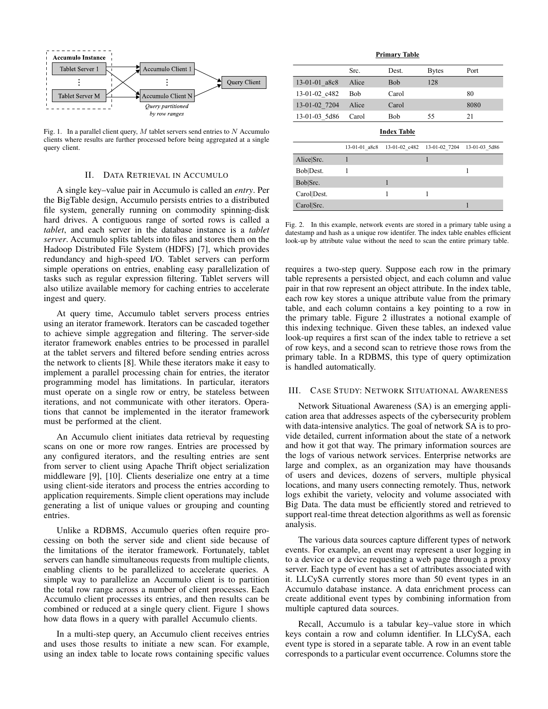

Fig. 1. In a parallel client query,  $M$  tablet servers send entries to  $N$  Accumulo clients where results are further processed before being aggregated at a single query client.

#### II. DATA RETRIEVAL IN ACCUMULO

A single key–value pair in Accumulo is called an *entry*. Per the BigTable design, Accumulo persists entries to a distributed file system, generally running on commodity spinning-disk hard drives. A contiguous range of sorted rows is called a *tablet*, and each server in the database instance is a *tablet server*. Accumulo splits tablets into files and stores them on the Hadoop Distributed File System (HDFS) [7], which provides redundancy and high-speed I/O. Tablet servers can perform simple operations on entries, enabling easy parallelization of tasks such as regular expression filtering. Tablet servers will also utilize available memory for caching entries to accelerate ingest and query.

At query time, Accumulo tablet servers process entries using an iterator framework. Iterators can be cascaded together to achieve simple aggregation and filtering. The server-side iterator framework enables entries to be processed in parallel at the tablet servers and filtered before sending entries across the network to clients [8]. While these iterators make it easy to implement a parallel processing chain for entries, the iterator programming model has limitations. In particular, iterators must operate on a single row or entry, be stateless between iterations, and not communicate with other iterators. Operations that cannot be implemented in the iterator framework must be performed at the client.

An Accumulo client initiates data retrieval by requesting scans on one or more row ranges. Entries are processed by any configured iterators, and the resulting entries are sent from server to client using Apache Thrift object serialization middleware [9], [10]. Clients deserialize one entry at a time using client-side iterators and process the entries according to application requirements. Simple client operations may include generating a list of unique values or grouping and counting entries.

Unlike a RDBMS, Accumulo queries often require processing on both the server side and client side because of the limitations of the iterator framework. Fortunately, tablet servers can handle simultaneous requests from multiple clients, enabling clients to be parallelized to accelerate queries. A simple way to parallelize an Accumulo client is to partition the total row range across a number of client processes. Each Accumulo client processes its entries, and then results can be combined or reduced at a single query client. Figure 1 shows how data flows in a query with parallel Accumulo clients.

In a multi-step query, an Accumulo client receives entries and uses those results to initiate a new scan. For example, using an index table to locate rows containing specific values

**Primary Table** 

|               | Src.  | Dest.      | <b>Bytes</b> | Port |
|---------------|-------|------------|--------------|------|
| 13-01-01 a8c8 | Alice | <b>Bob</b> | 128          |      |
| 13-01-02 c482 | Bob   | Carol      |              | 80   |
| 13-01-02 7204 | Alice | Carol      |              | 8080 |
| 13-01-03 5d86 | Carol | Bob        | 55           | 21   |
|               |       |            |              |      |

**Index Table** 

|             |  | 13-01-01 a8c8 13-01-02 c482 13-01-02 7204 13-01-03 5d86 |  |
|-------------|--|---------------------------------------------------------|--|
| Alice Src.  |  |                                                         |  |
| Bob Dest.   |  |                                                         |  |
| Bob Src.    |  |                                                         |  |
| Carol Dest. |  |                                                         |  |
| Carol Src.  |  |                                                         |  |

Fig. 2. In this example, network events are stored in a primary table using a datestamp and hash as a unique row identifer. The index table enables efficient look-up by attribute value without the need to scan the entire primary table.

requires a two-step query. Suppose each row in the primary table represents a persisted object, and each column and value pair in that row represent an object attribute. In the index table, each row key stores a unique attribute value from the primary table, and each column contains a key pointing to a row in the primary table. Figure 2 illustrates a notional example of this indexing technique. Given these tables, an indexed value look-up requires a first scan of the index table to retrieve a set of row keys, and a second scan to retrieve those rows from the primary table. In a RDBMS, this type of query optimization is handled automatically.

## III. CASE STUDY: NETWORK SITUATIONAL AWARENESS

Network Situational Awareness (SA) is an emerging application area that addresses aspects of the cybersecurity problem with data-intensive analytics. The goal of network SA is to provide detailed, current information about the state of a network and how it got that way. The primary information sources are the logs of various network services. Enterprise networks are large and complex, as an organization may have thousands of users and devices, dozens of servers, multiple physical locations, and many users connecting remotely. Thus, network logs exhibit the variety, velocity and volume associated with Big Data. The data must be efficiently stored and retrieved to support real-time threat detection algorithms as well as forensic analysis.

The various data sources capture different types of network events. For example, an event may represent a user logging in to a device or a device requesting a web page through a proxy server. Each type of event has a set of attributes associated with it. LLCySA currently stores more than 50 event types in an Accumulo database instance. A data enrichment process can create additional event types by combining information from multiple captured data sources.

Recall, Accumulo is a tabular key–value store in which keys contain a row and column identifier. In LLCySA, each event type is stored in a separate table. A row in an event table corresponds to a particular event occurrence. Columns store the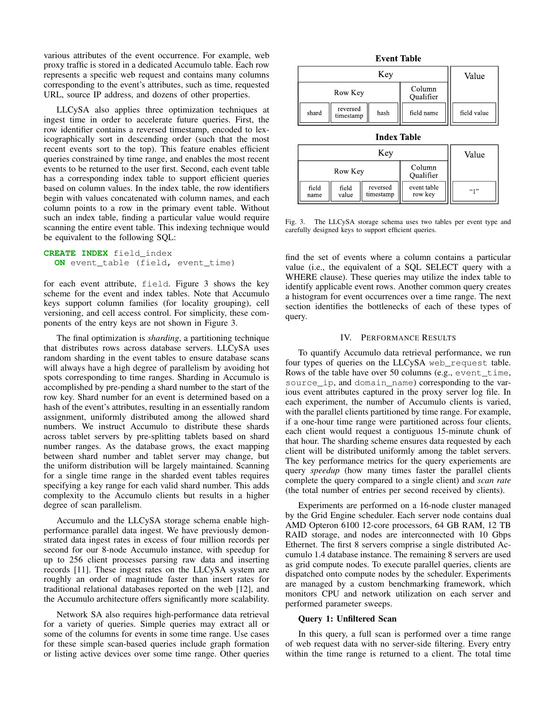various attributes of the event occurrence. For example, web proxy traffic is stored in a dedicated Accumulo table. Each row represents a specific web request and contains many columns corresponding to the event's attributes, such as time, requested URL, source IP address, and dozens of other properties.

LLCySA also applies three optimization techniques at ingest time in order to accelerate future queries. First, the row identifier contains a reversed timestamp, encoded to lexicographically sort in descending order (such that the most recent events sort to the top). This feature enables efficient queries constrained by time range, and enables the most recent events to be returned to the user first. Second, each event table has a corresponding index table to support efficient queries based on column values. In the index table, the row identifiers begin with values concatenated with column names, and each column points to a row in the primary event table. Without such an index table, finding a particular value would require scanning the entire event table. This indexing technique would be equivalent to the following SQL:

```
CREATE INDEX field_index
  ON event_table (field, event_time)
```
for each event attribute, field. Figure 3 shows the key scheme for the event and index tables. Note that Accumulo keys support column families (for locality grouping), cell versioning, and cell access control. For simplicity, these components of the entry keys are not shown in Figure 3.

The final optimization is *sharding*, a partitioning technique that distributes rows across database servers. LLCySA uses random sharding in the event tables to ensure database scans will always have a high degree of parallelism by avoiding hot spots corresponding to time ranges. Sharding in Accumulo is accomplished by pre-pending a shard number to the start of the row key. Shard number for an event is determined based on a hash of the event's attributes, resulting in an essentially random assignment, uniformly distributed among the allowed shard numbers. We instruct Accumulo to distribute these shards across tablet servers by pre-splitting tablets based on shard number ranges. As the database grows, the exact mapping between shard number and tablet server may change, but the uniform distribution will be largely maintained. Scanning for a single time range in the sharded event tables requires specifying a key range for each valid shard number. This adds complexity to the Accumulo clients but results in a higher degree of scan parallelism.

Accumulo and the LLCySA storage schema enable highperformance parallel data ingest. We have previously demonstrated data ingest rates in excess of four million records per second for our 8-node Accumulo instance, with speedup for up to 256 client processes parsing raw data and inserting records [11]. These ingest rates on the LLCySA system are roughly an order of magnitude faster than insert rates for traditional relational databases reported on the web [12], and the Accumulo architecture offers significantly more scalability.

Network SA also requires high-performance data retrieval for a variety of queries. Simple queries may extract all or some of the columns for events in some time range. Use cases for these simple scan-based queries include graph formation or listing active devices over some time range. Other queries

| <b>Event Table</b> |                       |      |                     |             |  |
|--------------------|-----------------------|------|---------------------|-------------|--|
| Key                |                       |      |                     | Value       |  |
|                    | Row Key               |      | Column<br>Qualifier |             |  |
| shard              | reversed<br>timestamp | hash | field name          | field value |  |

**Index Table** 

| Key           |                |                       | Value                  |       |
|---------------|----------------|-----------------------|------------------------|-------|
| Row Key       |                |                       | Column<br>Qualifier    |       |
| field<br>name | field<br>value | reversed<br>timestamp | event table<br>row key | 66133 |

Fig. 3. The LLCySA storage schema uses two tables per event type and carefully designed keys to support efficient queries.

find the set of events where a column contains a particular value (i.e., the equivalent of a SQL SELECT query with a WHERE clause). These queries may utilize the index table to identify applicable event rows. Another common query creates a histogram for event occurrences over a time range. The next section identifies the bottlenecks of each of these types of query.

#### IV. PERFORMANCE RESULTS

To quantify Accumulo data retrieval performance, we run four types of queries on the LLCySA web\_request table. Rows of the table have over 50 columns (e.g., event\_time, source ip, and domain name) corresponding to the various event attributes captured in the proxy server log file. In each experiment, the number of Accumulo clients is varied, with the parallel clients partitioned by time range. For example, if a one-hour time range were partitioned across four clients, each client would request a contiguous 15-minute chunk of that hour. The sharding scheme ensures data requested by each client will be distributed uniformly among the tablet servers. The key performance metrics for the query experiements are query *speedup* (how many times faster the parallel clients complete the query compared to a single client) and *scan rate* (the total number of entries per second received by clients).

Experiments are performed on a 16-node cluster managed by the Grid Engine scheduler. Each server node contains dual AMD Opteron 6100 12-core processors, 64 GB RAM, 12 TB RAID storage, and nodes are interconnected with 10 Gbps Ethernet. The first 8 servers comprise a single distributed Accumulo 1.4 database instance. The remaining 8 servers are used as grid compute nodes. To execute parallel queries, clients are dispatched onto compute nodes by the scheduler. Experiments are managed by a custom benchmarking framework, which monitors CPU and network utilization on each server and performed parameter sweeps.

## Query 1: Unfiltered Scan

In this query, a full scan is performed over a time range of web request data with no server-side filtering. Every entry within the time range is returned to a client. The total time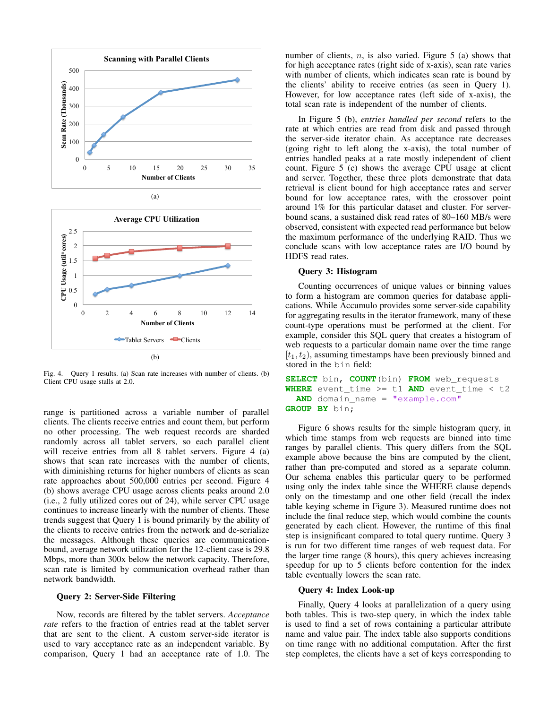





Fig. 4. Query 1 results. (a) Scan rate increases with number of clients. (b) Client CPU usage stalls at 2.0.

range is partitioned across a variable number of parallel clients. The clients receive entries and count them, but perform no other processing. The web request records are sharded randomly across all tablet servers, so each parallel client will receive entries from all 8 tablet servers. Figure 4 (a) shows that scan rate increases with the number of clients, with diminishing returns for higher numbers of clients as scan rate approaches about 500,000 entries per second. Figure 4 (b) shows average CPU usage across clients peaks around 2.0 (i.e., 2 fully utilized cores out of 24), while server CPU usage continues to increase linearly with the number of clients. These trends suggest that Query 1 is bound primarily by the ability of the clients to receive entries from the network and de-serialize the messages. Although these queries are communicationbound, average network utilization for the 12-client case is 29.8 Mbps, more than 300x below the network capacity. Therefore, scan rate is limited by communication overhead rather than network bandwidth.

## Query 2: Server-Side Filtering

Now, records are filtered by the tablet servers. *Acceptance rate* refers to the fraction of entries read at the tablet server that are sent to the client. A custom server-side iterator is used to vary acceptance rate as an independent variable. By comparison, Query 1 had an acceptance rate of 1.0. The number of clients,  $n$ , is also varied. Figure 5 (a) shows that for high acceptance rates (right side of x-axis), scan rate varies with number of clients, which indicates scan rate is bound by the clients' ability to receive entries (as seen in Query 1). However, for low acceptance rates (left side of x-axis), the total scan rate is independent of the number of clients.

In Figure 5 (b), *entries handled per second* refers to the rate at which entries are read from disk and passed through the server-side iterator chain. As acceptance rate decreases (going right to left along the x-axis), the total number of entries handled peaks at a rate mostly independent of client count. Figure 5 (c) shows the average CPU usage at client and server. Together, these three plots demonstrate that data retrieval is client bound for high acceptance rates and server bound for low acceptance rates, with the crossover point around 1% for this particular dataset and cluster. For serverbound scans, a sustained disk read rates of 80–160 MB/s were observed, consistent with expected read performance but below the maximum performance of the underlying RAID. Thus we conclude scans with low acceptance rates are I/O bound by HDFS read rates.

# Query 3: Histogram

Counting occurrences of unique values or binning values to form a histogram are common queries for database applications. While Accumulo provides some server-side capability for aggregating results in the iterator framework, many of these count-type operations must be performed at the client. For example, consider this SQL query that creates a histogram of web requests to a particular domain name over the time range  $[t_1, t_2)$ , assuming timestamps have been previously binned and stored in the bin field:

```
SELECT bin, COUNT(bin) FROM web_requests
WHERE event_time >= t1 AND event_time < t2
  AND domain_name = "example.com"
GROUP BY bin;
```
Figure 6 shows results for the simple histogram query, in which time stamps from web requests are binned into time ranges by parallel clients. This query differs from the SQL example above because the bins are computed by the client, rather than pre-computed and stored as a separate column. Our schema enables this particular query to be performed using only the index table since the WHERE clause depends only on the timestamp and one other field (recall the index table keying scheme in Figure 3). Measured runtime does not include the final reduce step, which would combine the counts generated by each client. However, the runtime of this final step is insignificant compared to total query runtime. Query 3 is run for two different time ranges of web request data. For the larger time range (8 hours), this query achieves increasing speedup for up to 5 clients before contention for the index table eventually lowers the scan rate.

# Query 4: Index Look-up

Finally, Query 4 looks at parallelization of a query using both tables. This is two-step query, in which the index table is used to find a set of rows containing a particular attribute name and value pair. The index table also supports conditions on time range with no additional computation. After the first step completes, the clients have a set of keys corresponding to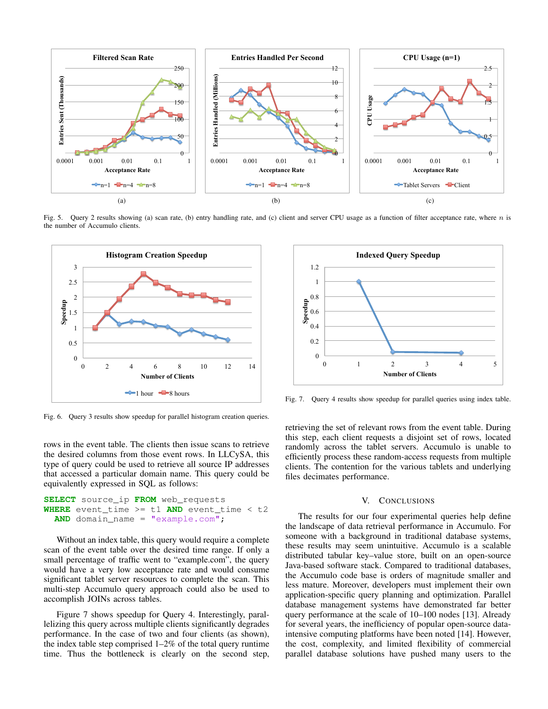

Fig. 5. Query 2 results showing (a) scan rate, (b) entry handling rate, and (c) client and server CPU usage as a function of filter acceptance rate, where n is the number of Accumulo clients.



Fig. 6. Query 3 results show speedup for parallel histogram creation queries.

rows in the event table. The clients then issue scans to retrieve the desired columns from those event rows. In LLCySA, this type of query could be used to retrieve all source IP addresses that accessed a particular domain name. This query could be equivalently expressed in SQL as follows:

```
SELECT source_ip FROM web_requests
WHERE event_time >= t1 AND event_time < t2
  AND domain name = "example.com";
```
Without an index table, this query would require a complete scan of the event table over the desired time range. If only a small percentage of traffic went to "example.com", the query would have a very low acceptance rate and would consume significant tablet server resources to complete the scan. This multi-step Accumulo query approach could also be used to accomplish JOINs across tables. time. Thus the bottleneck is clearly on the second step, 0

Figure 7 shows speedup for Query 4. Interestingly, parallelizing this query across multiple clients significantly degrades performance. In the case of two and four clients (as shown), the index table step comprised 1–2% of the total query runtime



Fig. 7. Query 4 results show speedup for parallel queries using index table.

retrieving the set of relevant rows from the event table. During this step, each client requests a disjoint set of rows, located randomly across the tablet servers. Accumulo is unable to efficiently process these random-access requests from multiple clients. The contention for the various tablets and underlying files decimates performance.

#### V. CONCLUSIONS

The results for our four experimental queries help define the landscape of data retrieval performance in Accumulo. For someone with a background in traditional database systems, these results may seem unintuitive. Accumulo is a scalable distributed tabular key–value store, built on an open-source Java-based software stack. Compared to traditional databases, the Accumulo code base is orders of magnitude smaller and less mature. Moreover, developers must implement their own application-specific query planning and optimization. Parallel database management systems have demonstrated far better query performance at the scale of 10–100 nodes [13]. Already for several years, the inefficiency of popular open-source dataintensive computing platforms have been noted [14]. However, the cost, complexity, and limited flexibility of commercial parallel database solutions have pushed many users to the